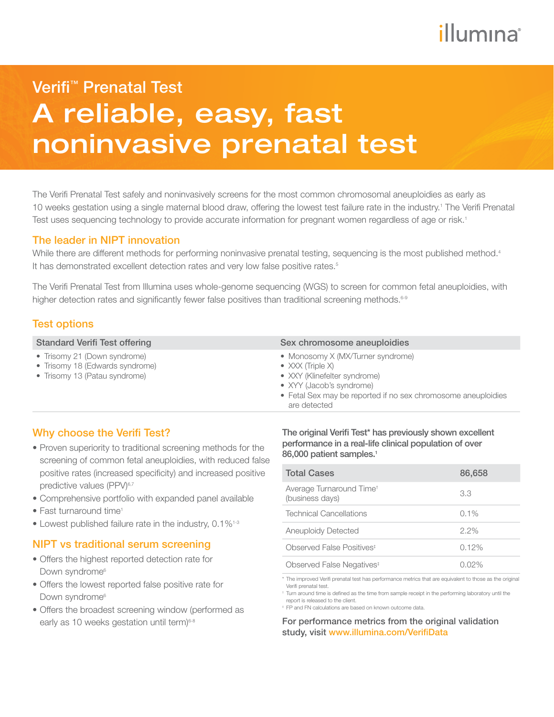# illumına

# A reliable, easy, fast noninvasive prenatal test Verifi™ Prenatal Test

The Verifi Prenatal Test safely and noninvasively screens for the most common chromosomal aneuploidies as early as 10 weeks gestation using a single maternal blood draw, offering the lowest test failure rate in the industry.<sup>1</sup> The Verifi Prenatal Test uses sequencing technology to provide accurate information for pregnant women regardless of age or risk.<sup>1</sup>

### The leader in NIPT innovation

While there are different methods for performing noninvasive prenatal testing, sequencing is the most published method.<sup>4</sup> It has demonstrated excellent detection rates and very low false positive rates.<sup>5</sup>

The Verifi Prenatal Test from Illumina uses whole-genome sequencing (WGS) to screen for common fetal aneuploidies, with higher detection rates and significantly fewer false positives than traditional screening methods.<sup>6-9</sup>

### Test options

- Trisomy 21 (Down syndrome)
- Trisomy 18 (Edwards syndrome)
- Trisomy 13 (Patau syndrome)

#### Standard Verifi Test offering Sex chromosome aneuploidies

- Monosomy X (MX/Turner syndrome)
- XXX (Triple X)
- XXY (Klinefelter syndrome)
- XYY (Jacob's syndrome)
- Fetal Sex may be reported if no sex chromosome aneuploidies are detected

## Why choose the Verifi Test?

- Proven superiority to traditional screening methods for the screening of common fetal aneuploidies, with reduced false positive rates (increased specificity) and increased positive predictive values (PPV)<sup>6,7</sup>
- Comprehensive portfolio with expanded panel available
- Fast turnaround time<sup>1</sup>
- Lowest published failure rate in the industry, 0.1%<sup>1-3</sup>

## NIPT vs traditional serum screening

- Offers the highest reported detection rate for Down syndrome<sup>6</sup>
- Offers the lowest reported false positive rate for Down syndrome<sup>6</sup>
- Offers the broadest screening window (performed as early as 10 weeks gestation until term)<sup>6-8</sup>

The original Verifi Test\* has previously shown excellent performance in a real-life clinical population of over 86,000 patient samples.<sup>1</sup>

| <b>Total Cases</b>                                      | 86,658   |
|---------------------------------------------------------|----------|
| Average Turnaround Time <sup>+</sup><br>(business days) | 3.3      |
| <b>Technical Cancellations</b>                          | $0.1\%$  |
| Aneuploidy Detected                                     | $2.2\%$  |
| Observed False Positives <sup>#</sup>                   | 0.12%    |
| Observed False Negatives <sup>#</sup>                   | $0.02\%$ |

\* The improved Verifi prenatal test has performance metrics that are equivalent to those as the original Verifi prenatal test.

‡ FP and FN calculations are based on known outcome data.

For performance metrics from the original validation study, visit www.illumina.com/VerifiData

<sup>†</sup> Turn around time is defined as the time from sample receipt in the performing laboratory until the report is released to the client.